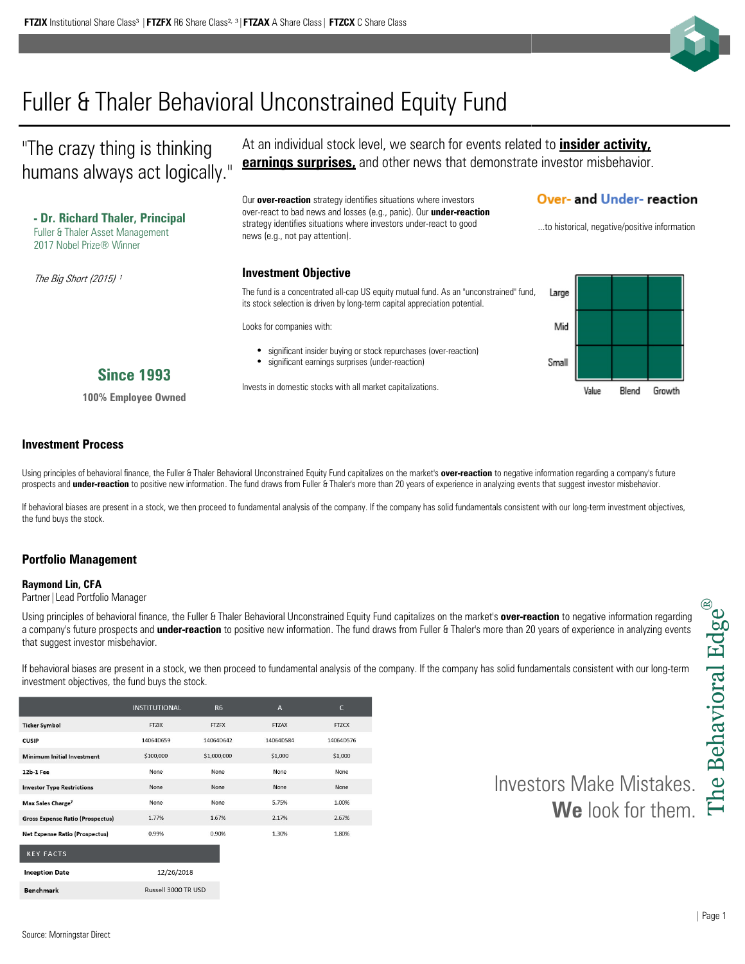Source: Morningstar Direct

# Fuller & Thaler Behavioral Unconstrained Equity Fund

"The crazy thing is thinking humans always act logically."

**- Dr. Richard Thaler, Principal** Fuller & Thaler Asset Management 2017 Nobel Prize® Winner

At an individual stock level, we search for events related to **insider activity, earnings surprises,** and other news that demonstrate investor misbehavior.

Our **over-reaction** strategy identifies situations where investors over-react to bad news and losses (e.g., panic). Our **under-reaction**  strategy identifies situations where investors under-react to good strategy identifies situations where investors under-react to good ....to historical, negative/positive information<br>news (e.g., not pay attention).

## **Over- and Under- reaction**

Mid

Small

Value

Blend

Growth

**Investment Objective** The fund is a concentrated all-cap US equity mutual fund. As an "unconstrained" fund, Large its stock selection is driven by long-term capital appreciation potential.

Looks for companies with:

 $\bullet$  $\bullet$ significant insider buying or stock repurchases (over-reaction) significant earnings surprises (under-reaction)

# **Since 1993**

**100% Employee Owned**

### **Investment Process**

The Big Short (2015)<sup>1</sup>

Using principles of behavioral finance, the Fuller & Thaler Behavioral Unconstrained Equity Fund capitalizes on the market's **over-reaction** to negative information regarding a company's future prospects and **under-reaction** to positive new information. The fund draws from Fuller & Thaler's more than 20 years of experience in analyzing events that suggest investor misbehavior.

Invests in domestic stocks with all market capitalizations.

If behavioral biases are present in a stock, we then proceed to fundamental analysis of the company. If the company has solid fundamentals consistent with our long-term investment objectives, the fund buys the stock.

## **Portfolio Management**

#### **Raymond Lin, CFA**

**Ticker Symbol** 

.<br>Defense i de

CUSIP

Partner | Lead Portfolio Manager

Using principles of behavioral finance, the Fuller & Thaler Behavioral Unconstrained Equity Fund capitalizes on the market's **over-reaction** to negative information regarding a company's future prospects and **under-reaction** to positive new information. The fund draws from Fuller & Thaler's more than 20 years of experience in analyzing events that suggest investor misbehavior.

If behavioral biases are present in a stock, we then proceed to fundamental analysis of the company. If the company has solid fundamentals consistent with our long-term investment objectives, the fund buys the stock.

**FTZCX** 

14064D576

\$1,000 None None 1.00% 2.67% 1.80%

|                                       | -------                     | wayoo yoo o | シェルシン |
|---------------------------------------|-----------------------------|-------------|-------|
| 2b-1 Fee                              | None                        | None        | None  |
| nvestor Type Restrictions             | None                        | None        | None  |
| Max Sales Charge <sup>7</sup>         | None                        | None        | 5.75% |
| Gross Expense Ratio (Prospectus)      | 1.77%                       | 1.67%       | 2.17% |
| <b>Vet Expense Ratio (Prospectus)</b> | 0.99%                       | 0.90%       | 1.30% |
| <b>KEY FACTS</b>                      |                             |             |       |
| <b>Inception Date</b>                 | 12/26/2018                  |             |       |
| Den elements                          | <b>Duccoll 2000 TD LISD</b> |             |       |

**INSTITUTIONAL** 

**FTZIX** 

14064D659  $$100,000$ 

 $R6$ 

**FTZFX** 

14064D642

 $61,000,000$ 

 $\overline{A}$ 

**FTZAX** 

14064D584

 $61,000$ 

Investors Make Mistakes. **We** look for them.